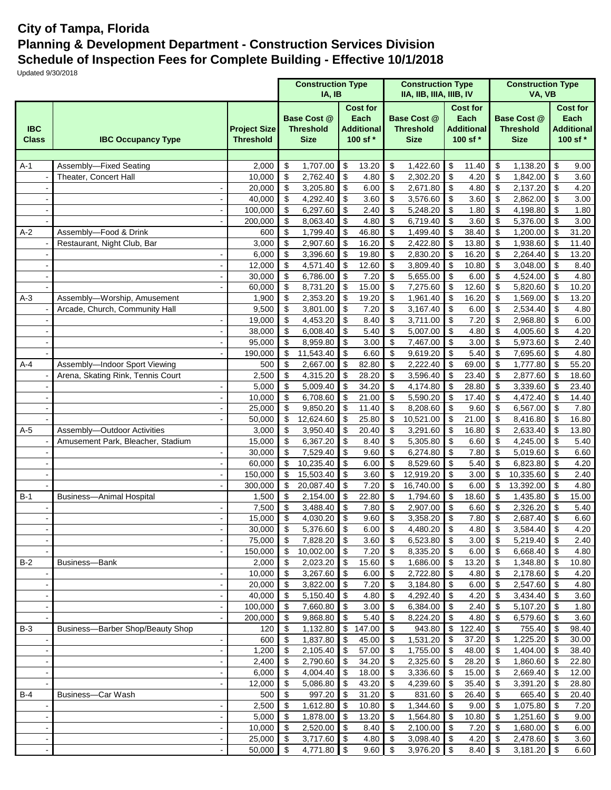## **City of Tampa, Florida Planning & Development Department - Construction Services Division Schedule of Inspection Fees for Complete Building - Effective 10/1/2018**

Updated 9/30/2018

|                            |                                   |                                         | <b>Construction Type</b><br>IA, IB                    |                      |                                 |                                                          |                                 | <b>Construction Type</b><br>IIA, IIB, IIIA, IIIB, IV  |                                                          |                |                                                       | <b>Construction Type</b><br>VA, VB |                 |                                                          |
|----------------------------|-----------------------------------|-----------------------------------------|-------------------------------------------------------|----------------------|---------------------------------|----------------------------------------------------------|---------------------------------|-------------------------------------------------------|----------------------------------------------------------|----------------|-------------------------------------------------------|------------------------------------|-----------------|----------------------------------------------------------|
| <b>IBC</b><br><b>Class</b> | <b>IBC Occupancy Type</b>         | <b>Project Size</b><br><b>Threshold</b> | <b>Base Cost @</b><br><b>Threshold</b><br><b>Size</b> |                      |                                 | <b>Cost for</b><br>Each<br><b>Additional</b><br>100 sf * |                                 | <b>Base Cost @</b><br><b>Threshold</b><br><b>Size</b> | <b>Cost for</b><br>Each<br><b>Additional</b><br>100 sf * |                | <b>Base Cost @</b><br><b>Threshold</b><br><b>Size</b> |                                    |                 | <b>Cost for</b><br>Each<br><b>Additional</b><br>100 sf * |
|                            |                                   |                                         |                                                       |                      |                                 |                                                          |                                 |                                                       |                                                          |                |                                                       |                                    |                 |                                                          |
| $A-1$                      | Assembly-Fixed Seating            | 2,000                                   | \$                                                    | 1,707.00             | \$                              | 13.20                                                    | \$                              | 1,422.60                                              | \$                                                       | 11.40          | \$                                                    | 1,138.20                           | \$              | 9.00                                                     |
|                            | Theater, Concert Hall             | 10,000                                  | \$                                                    | 2,762.40             | \$                              | 4.80                                                     | $\boldsymbol{\mathsf{S}}$       | 2,302.20                                              | \$                                                       | 4.20           | \$                                                    | 1,842.00                           | \$              | 3.60                                                     |
|                            |                                   | 20,000                                  | \$                                                    | 3,205.80             | \$                              | 6.00                                                     | \$                              | 2,671.80                                              | \$                                                       | 4.80           | \$                                                    | 2,137.20                           | \$              | 4.20                                                     |
|                            |                                   | 40.000                                  | \$                                                    | 4,292.40             | \$                              | 3.60                                                     | $\sqrt[6]{\frac{1}{2}}$         | 3,576.60                                              | \$                                                       | 3.60           | \$                                                    | 2,862.00                           | \$              | 3.00                                                     |
|                            |                                   | 100,000                                 | \$                                                    | 6,297.60             | \$                              | 2.40                                                     | $\boldsymbol{\mathsf{S}}$       | 5,248.20                                              | \$                                                       | 1.80           | \$                                                    | 4,198.80                           | \$              | 1.80                                                     |
|                            | ÷,                                | 200,000                                 | \$                                                    | 8,063.40             | \$                              | 4.80                                                     | \$                              | 6,719.40                                              | \$                                                       | 3.60           | \$                                                    | 5,376.00                           | \$              | 3.00                                                     |
| $A-2$                      | Assembly-Food & Drink             | 600                                     | \$                                                    | 1,799.40             | \$                              | 46.80                                                    | \$                              | 1,499.40                                              | \$                                                       | 38.40          | \$                                                    | 1,200.00                           | \$              | 31.20                                                    |
|                            | Restaurant, Night Club, Bar       | 3,000                                   | \$                                                    | 2,907.60             | \$                              | 16.20                                                    | \$                              | 2,422.80                                              | \$                                                       | 13.80          | \$                                                    | 1,938.60                           | \$              | 11.40                                                    |
|                            |                                   | 6,000                                   | \$<br>\$                                              | 3,396.60<br>4,571.40 | \$<br>$\sqrt{3}$                | 19.80                                                    | \$<br>$\boldsymbol{\mathsf{S}}$ | 2,830.20<br>3,809.40                                  | \$<br>\$                                                 | 16.20<br>10.80 | \$<br>\$                                              | 2,264.40<br>3,048.00               | \$<br>\$        | 13.20                                                    |
|                            |                                   | 12,000<br>30,000                        | \$                                                    | 6,786.00             | $\mathfrak{L}$                  | 12.60<br>7.20                                            | $\boldsymbol{\mathsf{S}}$       | 5,655.00                                              | \$                                                       | 6.00           | \$                                                    | 4,524.00                           | \$              | 8.40<br>4.80                                             |
|                            |                                   | 60,000                                  | \$                                                    | 8,731.20             | \$                              | 15.00                                                    | \$                              | 7,275.60                                              | $\boldsymbol{\mathsf{S}}$                                | 12.60          | \$                                                    | 5,820.60                           | \$              | 10.20                                                    |
| $A-3$                      | Assembly-Worship, Amusement       | 1,900                                   | \$                                                    | 2,353.20             | \$                              | 19.20                                                    | \$                              | 1,961.40                                              | \$                                                       | 16.20          | \$                                                    | 1,569.00                           | \$              | 13.20                                                    |
|                            | Arcade, Church, Community Hall    | 9,500                                   | \$                                                    | 3,801.00             | \$                              | 7.20                                                     | \$                              | 3,167.40                                              | \$                                                       | 6.00           | \$                                                    | 2,534.40                           | \$              | 4.80                                                     |
|                            |                                   | 19,000                                  | $\boldsymbol{\mathsf{S}}$                             | 4,453.20             | \$                              | 8.40                                                     | \$                              | 3,711.00                                              | \$                                                       | 7.20           | \$                                                    | 2,968.80                           | \$              | 6.00                                                     |
|                            |                                   | 38,000                                  | \$                                                    | 6,008.40             | \$                              | 5.40                                                     | \$                              | $\overline{5,007.00}$                                 | \$                                                       | 4.80           | \$                                                    | 4,005.60                           | \$              | 4.20                                                     |
|                            |                                   | 95,000                                  | \$                                                    | 8,959.80             | \$                              | 3.00                                                     | \$                              | 7,467.00                                              | \$                                                       | 3.00           | \$                                                    | 5,973.60                           | \$              | 2.40                                                     |
|                            | $\overline{\phantom{a}}$          | 190,000                                 | \$                                                    | 11,543.40            | \$                              | 6.60                                                     | \$                              | 9,619.20                                              | \$                                                       | 5.40           | \$                                                    | 7,695.60                           | \$              | 4.80                                                     |
| $A-4$                      | Assembly-Indoor Sport Viewing     | 500                                     | \$                                                    | 2,667.00             | \$                              | 82.80                                                    | \$                              | 2,222.40                                              | \$                                                       | 69.00          | \$                                                    | 1,777.80                           | \$              | 55.20                                                    |
|                            | Arena, Skating Rink, Tennis Court | 2,500                                   | \$                                                    | 4,315.20             | \$                              | 28.20                                                    | \$                              | 3,596.40                                              | \$                                                       | 23.40          | \$                                                    | 2,877.60                           | \$              | 18.60                                                    |
|                            |                                   | 5,000                                   | $\boldsymbol{\mathsf{S}}$                             | 5,009.40             | \$                              | 34.20                                                    | $\boldsymbol{\mathsf{S}}$       | 4,174.80                                              | \$                                                       | 28.80          | \$                                                    | 3,339.60                           | \$              | 23.40                                                    |
|                            |                                   | 10,000                                  | \$                                                    | 6,708.60             | \$                              | 21.00                                                    | \$                              | 5,590.20                                              | \$                                                       | 17.40          | \$                                                    | $\overline{4,}472.40$              | \$              | 14.40                                                    |
|                            |                                   | 25,000                                  | \$                                                    | 9,850.20             | $\mathcal{S}$                   | 11.40                                                    | $\sqrt[6]{2}$                   | 8,208.60                                              | \$                                                       | 9.60           | \$                                                    | 6,567.00                           | \$              | 7.80                                                     |
|                            |                                   | 50,000                                  | \$                                                    | 12,624.60            | \$                              | 25.80                                                    | $\boldsymbol{\mathsf{S}}$       | 10,521.00                                             | \$                                                       | 21.00          | \$                                                    | 8,416.80                           | \$              | 16.80                                                    |
| $A-5$                      | Assembly-Outdoor Activities       | 3,000                                   | \$                                                    | 3,950.40             | \$                              | 20.40                                                    | \$                              | 3,291.60                                              | \$                                                       | 16.80          | \$                                                    | 2,633.40                           | \$              | 13.80                                                    |
|                            | Amusement Park, Bleacher, Stadium | 15,000                                  | \$                                                    | 6,367.20             | \$                              | 8.40                                                     | \$                              | 5,305.80                                              | \$                                                       | 6.60           | \$                                                    | 4,245.00                           | \$              | 5.40                                                     |
|                            |                                   | 30,000                                  | \$                                                    | 7,529.40             | \$                              | 9.60                                                     | \$                              | 6,274.80                                              | \$                                                       | 7.80           | \$                                                    | 5,019.60                           | \$              | 6.60                                                     |
|                            |                                   | 60,000                                  | \$                                                    | 10,235.40            | \$                              | 6.00                                                     | \$                              | 8,529.60                                              | \$                                                       | 5.40           | \$                                                    | 6,823.80                           | \$              | 4.20                                                     |
|                            |                                   | 150,000                                 | \$                                                    | 15,503.40            | $\boldsymbol{\mathsf{S}}$       | 3.60                                                     | $\sqrt[6]{2}$                   | 12,919.20                                             | \$                                                       | 3.00           | \$                                                    | 10,335.60                          | \$              | 2.40                                                     |
|                            | $\overline{a}$                    | 300,000                                 | \$                                                    | 20,087.40            | $\mathfrak{L}$                  | 7.20                                                     | \$                              | 16,740.00                                             | \$                                                       | 6.00           | \$                                                    | 13,392.00                          | \$              | 4.80                                                     |
| $B-1$                      | <b>Business-Animal Hospital</b>   | 1,500<br>7,500                          | \$<br>\$                                              | 2,154.00             | \$<br>\$                        | 22.80<br>7.80                                            | \$<br>\$                        | 1,794.60                                              | \$<br>\$                                                 | 18.60<br>6.60  | \$<br>\$                                              | 1,435.80                           | \$<br>\$        | 15.00                                                    |
|                            |                                   | 15,000                                  | \$                                                    | 3,488.40<br>4,030.20 | \$                              | 9.60                                                     | \$                              | 2,907.00<br>3,358.20                                  | \$                                                       | 7.80           | \$                                                    | 2,326.20                           | \$              | 5.40<br>6.60                                             |
|                            |                                   | 30,000                                  | $\overline{\$}$                                       | $5,376.60$ \$        |                                 | 6.00                                                     | $\overline{\$}$                 | 4,480.20 \$                                           |                                                          | 4.80           | $\overline{\mathbf{3}}$                               | 2,687.40<br>3,584.40               | $\overline{\$}$ | 4.20                                                     |
|                            |                                   | 75,000                                  | \$                                                    | 7,828.20             | $\sqrt{3}$                      | 3.60                                                     | \$                              | 6,523.80 \$                                           |                                                          | 3.00           | \$                                                    | 5,219.40                           | \$              | 2.40                                                     |
|                            | $\blacksquare$                    | 150,000                                 | \$                                                    | 10,002.00            | $\sqrt{3}$                      | 7.20                                                     | \$                              | 8,335.20                                              | \$                                                       | 6.00           | \$                                                    | 6,668.40                           | \$              | 4.80                                                     |
| $B-2$                      | Business-Bank                     | 2,000                                   | $\boldsymbol{\mathsf{S}}$                             | 2,023.20             | $\sqrt{3}$                      | 15.60                                                    | \$                              | 1,686.00 \$                                           |                                                          | 13.20          | \$                                                    | 1,348.80                           | \$              | 10.80                                                    |
|                            | $\overline{\phantom{a}}$          | 10,000                                  | \$                                                    | 3,267.60             | $\sqrt{3}$                      | 6.00                                                     | \$                              | 2,722.80 \$                                           |                                                          | 4.80           | \$                                                    | 2,178.60                           | \$              | 4.20                                                     |
|                            | $\overline{\phantom{a}}$          | 20,000                                  | $\boldsymbol{\mathsf{S}}$                             | 3,822.00             | $\sqrt{3}$                      | 7.20                                                     | \$                              | $3,184.80$ \$                                         |                                                          | 6.00           | \$                                                    | 2,547.60                           | \$              | 4.80                                                     |
|                            | $\overline{\phantom{a}}$          | 40,000                                  | $\boldsymbol{\mathsf{S}}$                             | 5,150.40             | $\sqrt{3}$                      | 4.80                                                     | \$                              | 4,292.40                                              | \$                                                       | 4.20           | \$                                                    | 3,434.40                           | \$              | 3.60                                                     |
|                            |                                   | 100,000                                 | \$                                                    | 7,660.80             | $\sqrt{3}$                      | 3.00                                                     | \$                              | 6,384.00 \$                                           |                                                          | 2.40           | \$                                                    | 5,107.20                           | \$              | 1.80                                                     |
|                            |                                   | 200,000                                 | \$                                                    | 9,868.80             | $\sqrt{3}$                      | 5.40                                                     | $\sqrt{3}$                      | 8,224.20                                              | \$                                                       | 4.80           | \$                                                    | 6,579.60                           | \$              | 3.60                                                     |
| $B-3$                      | Business-Barber Shop/Beauty Shop  | 120                                     | \$                                                    | 1,132.80             | \$                              | 147.00                                                   | \$                              | 943.80                                                | \$                                                       | 122.40         | \$                                                    | 755.40                             | \$              | 98.40                                                    |
|                            | $\blacksquare$                    | 600                                     | \$                                                    | 1,837.80             | $\sqrt{3}$                      | 45.00                                                    | \$                              | 1,531.20 \$                                           |                                                          | 37.20          | \$                                                    | 1,225.20                           | \$              | 30.00                                                    |
|                            | $\blacksquare$                    | 1,200                                   | \$                                                    | 2,105.40             | $\sqrt{3}$                      | 57.00                                                    | -\$                             | 1,755.00 \$                                           |                                                          | 48.00          | \$                                                    | 1,404.00                           | \$              | 38.40                                                    |
|                            | $\overline{\phantom{a}}$          | 2,400                                   | \$                                                    | 2,790.60             | <b>S</b>                        | 34.20                                                    | \$                              | 2,325.60 \$                                           |                                                          | 28.20          | \$                                                    | 1,860.60                           | \$              | 22.80                                                    |
|                            |                                   | 6,000                                   | \$                                                    | 4,004.40             | l \$                            | 18.00                                                    | \$                              | 3,336.60                                              | \$                                                       | 15.00          | \$                                                    | 2,669.40                           | \$              | 12.00                                                    |
|                            |                                   | 12,000                                  | \$                                                    | 5,086.80             | l \$                            | 43.20                                                    | \$                              | 4,239.60                                              | $\sqrt{3}$                                               | 35.40          | \$                                                    | 3,391.20                           | \$              | 28.80                                                    |
| $B-4$                      | Business-Car Wash                 | 500                                     | \$                                                    | 997.20               | $\sqrt{3}$                      | 31.20                                                    | \$                              | 831.60                                                | \$                                                       | 26.40          | \$                                                    | 665.40                             | \$              | 20.40                                                    |
|                            | $\overline{\phantom{a}}$          | 2,500                                   | $\boldsymbol{\mathsf{S}}$                             | 1,612.80 \$          |                                 | 10.80                                                    | $\sqrt[6]{3}$                   | 1,344.60                                              | \$                                                       | 9.00           | \$                                                    | 1,075.80                           | \$              | 7.20                                                     |
|                            | $\overline{\phantom{a}}$          | 5,000                                   | \$                                                    | 1,878.00             | $\sqrt{3}$                      | 13.20                                                    | \$                              | $1,564.80$ \ \$                                       |                                                          | 10.80          | \$                                                    | 1,251.60                           | \$              | 9.00                                                     |
|                            | $\blacksquare$                    | 10,000                                  | \$                                                    | 2,520.00             | $\overline{1}$<br>$\sqrt[6]{3}$ | 8.40                                                     | - \$<br>$\sqrt[6]{3}$           | 2,100.00<br>3,098.40                                  | l \$<br>\$                                               | 7.20           | \$                                                    | 1,680.00                           | \$              | 6.00                                                     |
|                            |                                   | 25,000<br>50,000                        | \$<br>\$                                              | 3,717.60<br>4,771.80 | $\sqrt[6]{3}$                   | 4.80<br>9.60                                             | \$                              | 3,976.20                                              | \$                                                       | 4.20<br>8.40   | \$<br>\$                                              | 2,478.60<br>3,181.20               | \$<br>\$        | 3.60<br>6.60                                             |
|                            |                                   |                                         |                                                       |                      |                                 |                                                          |                                 |                                                       |                                                          |                |                                                       |                                    |                 |                                                          |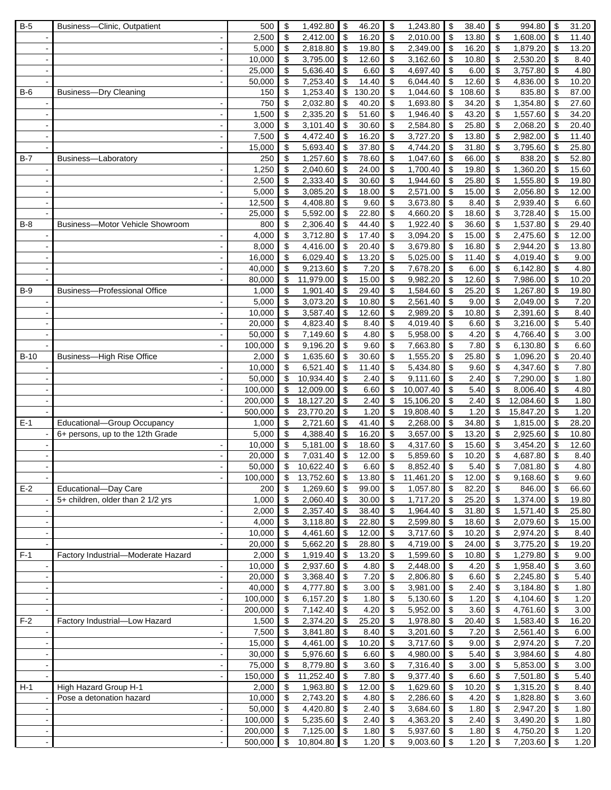| $B-5$      | Business-Clinic, Outpatient         | 500                | \$                         | 1,492.80              | \$                                      | 46.20        | \$                               | 1,243.80                  | \$                      | 38.40        | \$                            | 994.80               | \$           | 31.20              |
|------------|-------------------------------------|--------------------|----------------------------|-----------------------|-----------------------------------------|--------------|----------------------------------|---------------------------|-------------------------|--------------|-------------------------------|----------------------|--------------|--------------------|
|            |                                     | 2,500              | \$                         | 2,412.00              | \$                                      | 16.20        | $\sqrt[6]{\frac{1}{2}}$          | 2,010.00                  | \$                      | 13.80        | \$                            | 1,608.00             | \$           | 11.40              |
|            | $\overline{\phantom{a}}$            | 5,000              | \$                         | 2,818.80              | \$                                      | 19.80        | \$                               | 2,349.00                  | \$                      | 16.20        | \$                            | 1,879.20             | \$           | 13.20              |
|            |                                     | 10,000             | \$                         | 3,795.00              | \$                                      | 12.60        | \$                               | 3,162.60                  | \$                      | 10.80        | \$                            | 2,530.20             | \$           | 8.40               |
|            | $\blacksquare$                      | 25,000             | \$                         | 5,636.40              | \$                                      | 6.60         | \$                               | 4,697.40                  | \$                      | 6.00         | \$                            | 3,757.80             | \$           | 4.80               |
|            |                                     | 50,000             | \$                         | 7,253.40              | \$                                      | 14.40        | \$                               | 6,044.40                  | \$                      | 12.60        | \$                            | 4,836.00             | \$           | 10.20              |
| <b>B-6</b> | <b>Business-Dry Cleaning</b>        | 150                | \$                         | 1,253.40              | \$                                      | 130.20       | \$                               | 1,044.60                  | \$                      | 108.60       | \$                            | 835.80               | \$           | 87.00              |
|            | $\overline{\phantom{a}}$            | 750                | \$                         | 2,032.80              | \$                                      | 40.20        | $\sqrt[6]{\frac{1}{2}}$          | 1,693.80                  | \$                      | 34.20        | \$                            | 1,354.80             | \$           | 27.60              |
|            |                                     | 1,500              | \$                         | 2,335.20              | \$                                      | 51.60        | $\sqrt[6]{\frac{1}{2}}$          | 1,946.40                  | \$                      | 43.20        | \$                            | 1,557.60             | \$           | 34.20              |
|            | $\sim$                              | 3,000              | \$                         | 3,101.40              | \$                                      | 30.60        | \$                               | 2,584.80                  | \$                      | 25.80        | \$                            | 2,068.20             | \$           | 20.40              |
|            | $\overline{\phantom{a}}$            | 7,500              | \$                         | 4,472.40              | \$                                      | 16.20        | \$                               | 3,727.20                  | \$                      | 13.80        | \$                            | 2,982.00             | \$           | 11.40              |
|            |                                     | 15,000             | \$                         | 5,693.40              | \$                                      | 37.80        | \$                               | 4,744.20                  | \$                      | 31.80        | \$                            | 3,795.60             | \$           | 25.80              |
| $B-7$      | Business-Laboratory                 | 250                | \$                         | 1,257.60              | \$                                      | 78.60        | \$                               | 1,047.60                  | \$                      | 66.00        | \$                            | 838.20               | \$           | 52.80              |
|            |                                     | 1,250              | \$                         | 2,040.60              | \$                                      | 24.00        | $\boldsymbol{\mathsf{S}}$        | 1,700.40                  | \$                      | 19.80        | \$                            | 1,360.20             | \$           | 15.60              |
|            |                                     | 2,500              | \$                         | 2,333.40              | \$                                      | 30.60        | \$                               | 1,944.60                  | \$                      | 25.80        | \$                            | 1,555.80             | \$           | 19.80              |
|            | $\sim$                              | 5,000              | \$                         | 3,085.20              | \$                                      | 18.00        | \$                               | 2,571.00                  | \$                      | 15.00        | \$                            | 2,056.80             | \$           | 12.00              |
|            |                                     | 12,500             | \$                         | 4,408.80              | \$                                      | 9.60         | \$                               | 3,673.80                  | \$                      | 8.40         | \$                            | 2,939.40             | \$           | 6.60               |
|            | $\overline{\phantom{a}}$            |                    |                            |                       |                                         |              |                                  |                           |                         |              |                               |                      |              |                    |
|            | Business-Motor Vehicle Showroom     | 25,000             | \$                         | 5,592.00              | \$                                      | 22.80        | \$                               | 4,660.20                  | \$                      | 18.60        | \$                            | 3,728.40             | \$           | 15.00              |
| $B-8$      |                                     | 800                | \$                         | 2,306.40              | \$                                      | 44.40        | \$                               | 1,922.40                  | \$                      | 36.60        | \$                            | 1,537.80             | \$           | 29.40              |
|            |                                     | 4,000              | \$                         | 3,712.80              | \$                                      | 17.40        | \$                               | 3,094.20                  | \$                      | 15.00        | \$                            | 2,475.60             | \$           | 12.00              |
|            |                                     | 8,000              | \$                         | 4,416.00              | \$                                      | 20.40        | \$                               | 3,679.80                  | \$                      | 16.80        | \$                            | 2,944.20             | \$           | 13.80              |
|            | $\blacksquare$                      | 16,000             | \$                         | 6,029.40              | \$                                      | 13.20        | \$                               | 5,025.00                  | \$                      | 11.40        | \$                            | 4,019.40             | \$           | 9.00               |
|            |                                     | 40,000             | \$                         | 9,213.60              | \$                                      | 7.20         | \$                               | 7,678.20                  | \$                      | 6.00         | \$                            | 6,142.80             | \$           | 4.80               |
|            |                                     | 80,000             | \$                         | 11,979.00             | \$                                      | 15.00        | \$                               | 9,982.20                  | \$                      | 12.60        | \$                            | 7,986.00             | \$           | 10.20              |
| $B-9$      | <b>Business-Professional Office</b> | 1,000              | \$                         | 1,901.40              | \$                                      | 29.40        | $\boldsymbol{\mathsf{S}}$        | 1,584.60                  | \$                      | 25.20        | \$                            | 1,267.80             | \$           | 19.80              |
|            |                                     | 5,000              | \$                         | 3,073.20              | \$                                      | 10.80        | \$                               | 2,561.40                  | \$                      | 9.00         | \$                            | 2,049.00             | \$           | 7.20               |
|            |                                     | 10,000             | \$                         | 3,587.40              | \$                                      | 12.60        | \$                               | 2,989.20                  | \$                      | 10.80        | \$                            | 2,391.60             | \$           | 8.40               |
|            | $\overline{\phantom{a}}$            | 20,000             | \$                         | 4,823.40              | \$                                      | 8.40         | $\boldsymbol{\mathsf{S}}$        | 4,019.40                  | \$                      | 6.60         | \$                            | 3,216.00             | \$           | 5.40               |
|            | $\blacksquare$                      | 50,000             | \$                         | 7,149.60              | \$                                      | 4.80         | \$                               | 5,958.00                  | \$                      | 4.20         | \$                            | 4,766.40             | \$           | 3.00               |
|            | $\blacksquare$                      | 100,000            | \$                         | 9,196.20              | \$                                      | 9.60         | \$                               | 7,663.80                  | \$                      | 7.80         | \$                            | 6,130.80             | \$           | 6.60               |
| $B-10$     | Business-High Rise Office           | 2,000              | \$                         | 1,635.60              | \$                                      | 30.60        | \$                               | 1,555.20                  | \$                      | 25.80        | \$                            | 1,096.20             | \$           | $\overline{20.40}$ |
|            |                                     | 10,000             | \$                         | 6,521.40              | \$                                      | 11.40        | \$                               | 5,434.80                  | \$                      | 9.60         | \$                            | 4,347.60             | \$           | 7.80               |
|            |                                     | 50,000             | \$                         | 10,934.40             | \$                                      | 2.40         | $\sqrt[6]{\frac{1}{2}}$          | 9,111.60                  | \$                      | 2.40         | \$                            | 7,290.00             | \$           | 1.80               |
|            |                                     | 100,000            | \$                         | 12,009.00             | \$                                      | 6.60         | \$                               | 10,007.40                 | \$                      | 5.40         | \$                            | 8,006.40             | \$           | 4.80               |
|            | $\sim$                              | 200,000            | \$                         | 18,127.20             | \$                                      | 2.40         | \$                               | 15,106.20                 | \$                      | 2.40         | \$                            | 12,084.60            | \$           | 1.80               |
|            |                                     | 500,000            | \$                         | 23,770.20             | \$                                      | 1.20         | \$                               | 19,808.40                 | \$                      | 1.20         | \$                            | 15,847.20            | \$           | 1.20               |
| $E-1$      | Educational-Group Occupancy         | 1,000              | \$                         | 2,721.60              | \$                                      | 41.40        | \$                               | 2,268.00                  | \$                      | 34.80        | \$                            | 1,815.00             | \$           | 28.20              |
|            | 6+ persons, up to the 12th Grade    | 5,000              | \$                         | 4,388.40              | \$                                      | 16.20        | \$                               | 3,657.00                  | \$                      | 13.20        | \$                            | 2,925.60             | \$           | 10.80              |
|            |                                     | 10,000             | \$                         | 5,181.00              | \$                                      | 18.60        | $\boldsymbol{\mathsf{S}}$        | 4,317.60                  | \$                      | 15.60        | \$                            | 3,454.20             | \$           | 12.60              |
|            |                                     | 20,000             | \$                         | 7,031.40              | \$                                      | 12.00        | \$                               | 5,859.60                  | \$                      | 10.20        | \$                            | 4,687.80             | \$           | 8.40               |
|            |                                     | 50.000             | $\bullet$                  | 10,622.40             | \$                                      | 6.60         | $\overline{\mathbf{s}}$          | 8,852.40                  | $\mathfrak s$           | 5.40         | $\mathbb{S}$                  | 7,081.80             | $\mathbb{S}$ | 4.80               |
|            |                                     | 100,000            | $\boldsymbol{\mathsf{S}}$  | 13,752.60             | $\sqrt{3}$                              | 13.80        | \$                               | 11,461.20                 | $\sqrt[6]{\frac{1}{2}}$ | 12.00        | \$                            | 9,168.60             | \$           | 9.60               |
| $E-2$      | Educational-Day Care                | 200                | \$                         | 1,269.60              | \$                                      | 99.00        | \$                               | 1,057.80                  | \$                      | 82.20        | \$                            | 846.00               | \$           | 66.60              |
|            | 5+ children, older than 2 1/2 yrs   | 1,000              | $\boldsymbol{\mathsf{S}}$  | 2,060.40              | \$                                      | 30.00        | $\overline{\boldsymbol{\theta}}$ | 1,717.20                  | \$                      | 25.20        | \$                            | 1,374.00             | \$           | 19.80              |
|            |                                     | 2,000              | \$                         | 2,357.40              | \$                                      | 38.40        | \$                               | 1,964.40                  | \$                      | 31.80        | \$                            | 1,571.40             | \$           | 25.80              |
|            |                                     | 4,000              | \$                         | 3,118.80              | \$                                      | 22.80        | $\sqrt[6]{3}$                    | 2,599.80                  | \$                      | 18.60        | \$                            | 2,079.60             | \$           | 15.00              |
|            | $\blacksquare$                      | 10,000             | \$                         | 4,461.60              | \$                                      | 12.00        | $\sqrt[6]{3}$                    | 3,717.60                  | \$                      | 10.20        | \$                            | 2,974.20             | \$           | 8.40               |
|            |                                     | 20,000             | \$                         | 5,662.20              | \$                                      | 28.80        | \$                               | 4,719.00                  | \$                      | 24.00        | \$                            | 3,775.20             | \$           | 19.20              |
| $F-1$      | Factory Industrial-Moderate Hazard  | 2,000              | $\boldsymbol{\mathsf{\$}}$ | 1,919.40              | $\sqrt{3}$                              | 13.20        | \$                               | 1,599.60 \$               |                         | 10.80        | \$                            | 1,279.80             | \$           | 9.00               |
|            | $\overline{\phantom{a}}$            | 10,000             | \$                         | 2,937.60              | \$                                      | 4.80         | \$                               | 2,448.00                  | \$                      | 4.20         | \$                            | 1,958.40             | \$           | 3.60               |
|            | $\overline{\phantom{a}}$            | 20,000             | \$                         | 3,368.40              | \$                                      | 7.20         | $\boldsymbol{\mathsf{S}}$        | 2,806.80                  | \$                      | 6.60         | \$                            | 2,245.80             | \$           | 5.40               |
|            |                                     | 40,000             | \$                         | 4,777.80              | $\boldsymbol{\mathsf{S}}$               | 3.00         | \$                               | 3,981.00                  | \$                      | 2.40         | \$                            | 3,184.80             | \$           | 1.80               |
|            | $\overline{\phantom{a}}$            | 100,000            | \$                         | 6,157.20              | \$                                      | 1.80         | \$                               | 5,130.60                  | \$                      | 1.20         | \$                            | 4,104.60             | \$           | 1.20               |
|            |                                     |                    |                            |                       |                                         |              |                                  |                           |                         | 3.60         |                               |                      |              | 3.00               |
|            | $\overline{\phantom{a}}$            | 200,000            | \$                         | 7,142.40              | \$                                      | 4.20         | $\boldsymbol{\mathsf{\$}}$<br>\$ | 5,952.00                  | \$                      |              | \$<br>\$                      | 4,761.60             | \$           |                    |
| $F-2$      | Factory Industrial-Low Hazard       | 1,500              | \$                         | 2,374.20              | $\sqrt{3}$                              | 25.20        |                                  | 1,978.80                  | $\sqrt{3}$              | 20.40        |                               | 1,583.40             | \$           | 16.20              |
|            | $\overline{\phantom{a}}$            | 7,500              | \$                         | 3,841.80              | \$                                      | 8.40         | \$                               | 3,201.60                  | \$                      | 7.20         | \$                            | 2,561.40             | \$           | 6.00               |
|            | $\overline{\phantom{a}}$            | 15,000             | \$                         | 4,461.00              | \$                                      | 10.20        | \$                               | 3,717.60                  | \$                      | 9.00         | \$                            | 2,974.20             | \$           | 7.20               |
|            |                                     | 30,000             | \$                         | 5,976.60              | \$                                      | 6.60         | $\overline{\mathbf{3}}$          | 4,980.00                  | \$                      | 5.40         | \$                            | 3,984.60             | \$           | 4.80               |
|            |                                     | 75,000             | \$                         | 8,779.80              | \$                                      | 3.60         | \$                               | 7,316.40                  | \$                      | 3.00         | \$                            | 5,853.00             | \$           | 3.00               |
|            | $\sim$                              | 150,000            | \$                         | 11,252.40             | \$                                      | 7.80         | \$                               | 9,377.40                  | \$                      | 6.60         | \$                            | 7,501.80             | \$           | 5.40               |
| $H-1$      | High Hazard Group H-1               | 2,000              | \$                         | 1,963.80              | $\sqrt{3}$                              | 12.00        | \$                               | 1,629.60                  | $\sqrt{3}$              | 10.20        | \$                            | 1,315.20             | \$           | 8.40               |
|            | Pose a detonation hazard            | 10,000             | \$                         | 2,743.20              | \$                                      | 4.80         | \$                               | 2,286.60                  | \$                      | 4.20         | \$                            | 1,828.80             | \$           | 3.60               |
|            |                                     | 50,000             | \$                         | 4,420.80              | \$                                      | 2.40         | \$                               | 3,684.60                  | \$                      | 1.80         | \$                            | 2,947.20             | \$           | 1.80               |
|            |                                     | 100,000            | \$                         | 5,235.60              | \$                                      | 2.40         | \$                               | 4,363.20                  | \$                      | 2.40         | \$                            | 3,490.20             | \$           | 1.80               |
|            |                                     |                    |                            |                       |                                         |              |                                  |                           |                         |              |                               |                      |              |                    |
|            | $\blacksquare$                      | 200,000<br>500,000 | \$<br>$\mathfrak{S}$       | 7,125.00<br>10,804.80 | $\sqrt{3}$<br>$\boldsymbol{\mathsf{S}}$ | 1.80<br>1.20 | \$<br>$\sqrt[6]{3}$              | 5,937.60<br>$9,003.60$ \$ | \$                      | 1.80<br>1.20 | \$<br>$\sqrt[6]{\frac{1}{2}}$ | 4,750.20<br>7,203.60 | \$<br>\$     | 1.20<br>1.20       |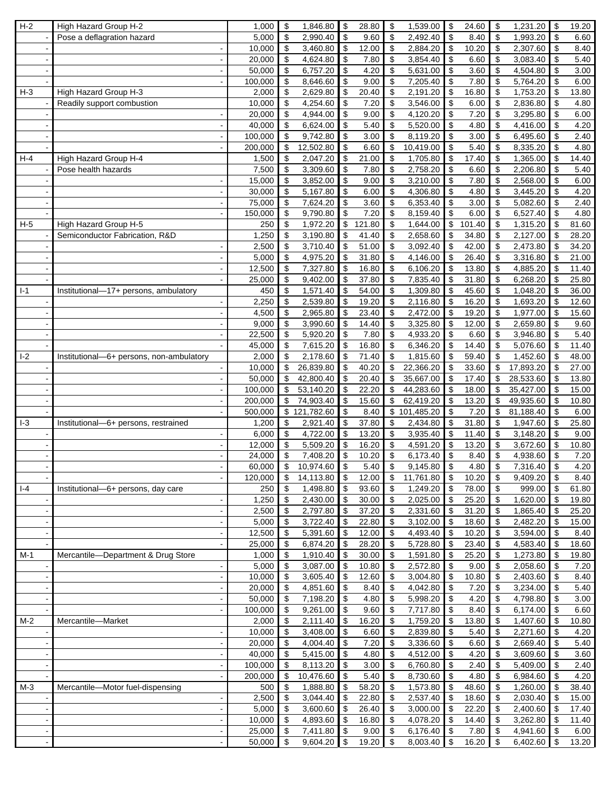| $H\overline{2}$ | High Hazard Group H-2                    | 1,000            | \$                              | 1,846.80                   | \$                        | 28.80         | \$<br>1,539.00                              | \$                         | 24.60         | \$                              | 1,231.20             | \$                       | 19.20              |
|-----------------|------------------------------------------|------------------|---------------------------------|----------------------------|---------------------------|---------------|---------------------------------------------|----------------------------|---------------|---------------------------------|----------------------|--------------------------|--------------------|
|                 | Pose a deflagration hazard               | 5,000            | \$                              | 2,990.40                   | \$                        | 9.60          | $\sqrt[6]{5}$<br>2,492.40                   | \$                         | 8.40          | \$                              | 1,993.20             | \$                       | 6.60               |
|                 | $\overline{\phantom{a}}$                 | 10,000           | \$                              | 3,460.80                   | \$                        | 12.00         | \$<br>2,884.20                              | \$                         | 10.20         | \$                              | 2,307.60             | \$                       | 8.40               |
|                 |                                          | 20,000           | \$                              | 4,624.80                   | \$                        | 7.80          | 3,854.40<br>\$                              | \$                         | 6.60          | \$                              | 3,083.40             | \$                       | 5.40               |
|                 |                                          | 50,000           | \$                              | 6,757.20                   | \$                        | 4.20          | \$<br>5,631.00                              | \$                         | 3.60          | \$                              | 4,504.80             | \$                       | 3.00               |
|                 |                                          | 100,000          | \$                              | 8,646.60                   | \$                        | 9.00          | \$<br>7,205.40                              | \$                         | 7.80          | \$                              | 5,764.20             | \$                       | 6.00               |
| $H-3$           | High Hazard Group H-3                    | 2,000            | \$                              | 2,629.80                   | \$                        | 20.40         | \$<br>2,191.20                              | \$                         | 16.80         | \$                              | 1,753.20             | \$                       | 13.80              |
|                 | Readily support combustion               | 10,000           | \$                              | 4,254.60                   | \$                        | 7.20          | \$<br>3,546.00                              | \$                         | 6.00          | \$                              | 2,836.80             | \$                       | 4.80               |
|                 |                                          | 20,000           | \$                              | 4,944.00                   | $\boldsymbol{\mathsf{S}}$ | 9.00          | $\sqrt[6]{\frac{1}{2}}$<br>4,120.20         | \$                         | 7.20          | \$                              | 3,295.80             | \$                       | 6.00               |
|                 | ÷,                                       | 40,000           | $\boldsymbol{\mathsf{S}}$       | 6,624.00                   | $\boldsymbol{\mathsf{S}}$ | 5.40          | \$<br>5,520.00                              | $\boldsymbol{\mathsf{S}}$  | 4.80          | \$                              | 4,416.00             | \$                       | 4.20               |
|                 |                                          | 100,000          | \$                              | 9,742.80                   | \$                        | 3.00          | \$<br>8,119.20                              | \$                         | 3.00          | \$                              | 6,495.60             | \$                       | 2.40               |
|                 |                                          | 200,000          | \$                              | 12,502.80                  | \$                        | 6.60          | \$<br>10,419.00                             | \$                         | 5.40          | \$                              | 8,335.20             | \$                       | 4.80               |
| $H-4$           | High Hazard Group H-4                    | 1,500            | $\boldsymbol{\mathsf{S}}$       | 2,047.20                   | \$                        | 21.00         | \$<br>1,705.80                              | \$                         | 17.40         | \$                              | 1,365.00             | \$                       | 14.40              |
|                 | Pose health hazards                      | 7,500            | $\boldsymbol{\mathsf{S}}$       | 3,309.60                   | $\boldsymbol{\mathsf{S}}$ | 7.80          | $\boldsymbol{\mathsf{S}}$<br>2,758.20       | \$                         | 6.60          | \$                              | 2,206.80             | \$                       | 5.40               |
|                 |                                          | 15,000           | \$                              | 3,852.00                   | \$                        | 9.00          | $\boldsymbol{\mathsf{S}}$<br>3,210.00       | \$                         | 7.80          | \$                              | 2,568.00             | \$                       | 6.00               |
|                 |                                          | 30,000           | $\boldsymbol{\mathsf{S}}$       | 5,167.80                   | \$                        | 6.00          | \$<br>4,306.80                              | \$                         | 4.80          | \$                              | 3,445.20             | $\sqrt[6]{\frac{1}{2}}$  | 4.20               |
|                 |                                          | 75,000           | \$                              | 7,624.20                   | \$                        | 3.60          | 6,353.40<br>\$                              | \$                         | 3.00          | \$                              | 5,082.60             | \$                       | 2.40               |
|                 |                                          | 150,000          | \$                              | 9,790.80                   | \$                        | 7.20          | \$<br>8,159.40                              | \$                         | 6.00          | \$                              | 6,527.40             | \$                       | 4.80               |
| $H-5$           | High Hazard Group H-5                    | 250              | \$                              | 1,972.20                   | \$                        | 121.80        | \$<br>1,644.00                              | \$                         | 101.40        | \$                              | 1,315.20             | \$                       | 81.60              |
|                 | Semiconductor Fabrication, R&D           | 1,250            | \$                              | 3,190.80                   | \$                        | 41.40         | \$<br>2,658.60                              | \$                         | 34.80         | \$                              | 2,127.00             | \$                       | 28.20              |
|                 |                                          |                  |                                 |                            |                           |               |                                             |                            |               |                                 |                      |                          |                    |
|                 |                                          | 2,500            | \$                              | 3,710.40                   | \$                        | 51.00         | \$<br>3,092.40                              | \$                         | 42.00         | \$                              | 2,473.80             | \$                       | 34.20              |
|                 | $\sim$                                   | 5,000            | \$                              | 4,975.20                   | \$                        | 31.80         | \$<br>4,146.00                              | \$                         | 26.40         | \$                              | 3,316.80             | \$                       | 21.00              |
|                 |                                          | 12,500           | \$                              | 7,327.80                   | \$                        | 16.80         | \$<br>6,106.20                              | \$                         | 13.80         | \$                              | 4,885.20             | \$                       | 11.40              |
|                 |                                          | 25,000           | \$                              | 9,402.00                   | \$                        | 37.80         | \$<br>7,835.40                              | \$                         | 31.80         | \$                              | 6,268.20             | \$                       | 25.80              |
| $I-1$           | Institutional-17+ persons, ambulatory    | 450              | \$                              | 1,571.40                   | \$                        | 54.00         | $\boldsymbol{\mathsf{S}}$<br>1,309.80       | \$                         | 45.60         | \$                              | 1,048.20             | \$                       | 36.00              |
|                 |                                          | 2,250            | \$                              | 2,539.80                   | \$                        | 19.20         | \$<br>2,116.80                              | \$                         | 16.20         | \$                              | 1,693.20             | \$                       | $\overline{12.60}$ |
|                 |                                          | 4,500            | \$                              | 2,965.80                   | \$                        | 23.40         | $\sqrt[6]{\frac{1}{2}}$<br>2,472.00         | \$                         | 19.20         | \$                              | 1,977.00             | \$                       | 15.60              |
|                 | $\overline{\phantom{a}}$                 | 9,000            | \$                              | 3,990.60                   | \$                        | 14.40         | \$<br>3,325.80                              | \$                         | 12.00         | \$                              | 2,659.80             | \$                       | 9.60               |
|                 |                                          | 22,500           | \$                              | 5,920.20                   | \$                        | 7.80          | 4,933.20<br>\$                              | \$                         | 6.60          | \$                              | 3,946.80             | \$                       | 5.40               |
|                 |                                          | 45,000           | \$                              | 7,615.20                   | \$                        | 16.80         | \$<br>6,346.20                              | \$                         | 14.40         | \$                              | 5,076.60             | \$                       | 11.40              |
| $-2$            | Institutional-6+ persons, non-ambulatory | 2,000            | \$                              | 2,178.60                   | \$                        | 71.40         | \$<br>1,815.60                              | \$                         | 59.40         | \$                              | 1,452.60             | \$                       | 48.00              |
|                 |                                          | 10,000           | \$                              | 26,839.80                  | \$                        | 40.20         | \$<br>22,366.20                             | \$                         | 33.60         | \$                              | 17,893.20            | \$                       | 27.00              |
|                 |                                          | 50,000           | $\sqrt[6]{\frac{1}{2}}$         | 42,800.40                  | \$                        | 20.40         | \$<br>35,667.00                             | \$                         | 17.40         | \$                              | 28,533.60            | \$                       | 13.80              |
|                 |                                          | 100,000          | \$                              | 53,140.20                  | \$                        | 22.20         | \$<br>44,283.60                             | \$                         | 18.00         | \$                              | 35,427.00            | \$                       | 15.00              |
|                 |                                          | 200,000          | \$                              | 74,903.40                  | \$                        | 15.60         | \$<br>62,419.20                             | \$                         | 13.20         | \$                              | 49,935.60            | \$                       | 10.80              |
|                 |                                          | 500,000          |                                 | $\overline{\$}$ 121,782.60 | \$                        | 8.40          | \$101,485.20                                | \$                         | 7.20          | \$                              | 81,188.40            | \$                       | 6.00               |
| $-3$            | Institutional-6+ persons, restrained     | 1,200            | \$                              | 2,921.40                   | \$                        | 37.80         | \$<br>2,434.80                              | \$                         | 31.80         | \$                              | 1,947.60             | \$                       | 25.80              |
|                 |                                          | 6,000            | $\boldsymbol{\mathsf{S}}$       | 4,722.00                   | \$                        | 13.20         | $\overline{\mathbf{S}}$<br>3,935.40         | \$                         | 11.40         | \$                              | 3,148.20             | $\overline{\mathcal{S}}$ | 9.00               |
|                 |                                          | 12,000           | \$                              | 5,509.20                   | \$                        | 16.20         | $\boldsymbol{\mathsf{S}}$<br>4,591.20       | \$                         | 13.20         | \$                              | 3,672.60             | \$                       | 10.80              |
|                 |                                          | 24,000           | \$                              | 7,408.20                   | \$                        | 10.20         | \$<br>6,173.40                              | \$                         | 8.40          | \$                              | 4,938.60             | \$                       | 7.20               |
|                 |                                          | 60.000           | $\overline{\mathbf{s}}$         | 10,974.60                  | $\overline{\mathbf{s}}$   | 5.40          | $\overline{\mathbf{s}}$<br>$9,145.80$ \$    |                            | 4.80          | $\mathbb{S}$                    | 7,316.40             | $\mathbb{S}$             | 4.20               |
|                 |                                          | 120,000          | \$                              | $14,113.80$ \$             |                           | 12.00         | \$<br>11,761.80                             | $\sqrt[6]{\frac{1}{2}}$    | 10.20         | \$                              | 9,409.20             | \$                       | 8.40               |
| $  -4$          | Institutional-6+ persons, day care       | 250              | $\boldsymbol{\mathsf{S}}$       | 1,498.80                   | $\sqrt{3}$                | 93.60         | \$<br>1,249.20                              | $\sqrt[6]{\frac{1}{2}}$    | 78.00         | \$                              | 999.00               | \$                       | 61.80              |
|                 | $\overline{\phantom{a}}$                 | 1,250            | $\overline{\mathbf{e}}$         | 2,430.00                   | $\boldsymbol{\theta}$     | 30.00         | $\overline{\mathbf{3}}$<br>2,025.00         | \$                         | 25.20         | \$                              | 1,620.00             | \$                       | 19.80              |
|                 |                                          | 2,500            | \$                              | 2,797.80                   | $\sqrt{3}$                | 37.20         | \$<br>2,331.60                              | \$                         | 31.20         | \$                              | 1,865.40             | \$                       | 25.20              |
|                 |                                          | 5,000            | $\boldsymbol{\mathsf{S}}$       | 3,722.40                   | $\sqrt{3}$                | 22.80         | \$<br>3,102.00                              | \$                         | 18.60         | \$                              | 2,482.20             | \$                       | 15.00              |
|                 | $\blacksquare$                           | 12,500           | \$                              | 5,391.60                   | <b>S</b>                  | 12.00         | $\sqrt[6]{\frac{1}{2}}$<br>4,493.40         | \$                         | 10.20         | \$                              | 3,594.00             | \$                       | 8.40               |
|                 |                                          | 25,000           | \$                              | 6,874.20                   | l \$                      | 28.20         | 5,728.80<br>\$                              | \$                         | 23.40         | \$                              | 4,583.40             | \$                       | 18.60              |
| $M-1$           | Mercantile-Department & Drug Store       | 1,000            | $\boldsymbol{\mathsf{S}}$       | 1,910.40                   | l \$                      | 30.00         | $\sqrt[6]{3}$<br>1,591.80                   | \$                         | 25.20         | \$                              | 1,273.80             | \$                       | 19.80              |
|                 | $\overline{\phantom{a}}$                 | 5,000            | $\boldsymbol{\$}$               | 3,087.00                   | <b>S</b>                  | 10.80         | \$<br>2,572.80                              | \$                         | 9.00          | \$                              | 2,058.60             | \$                       | 7.20               |
|                 |                                          | 10,000           | \$                              | 3,605.40                   | $\sqrt{3}$                | 12.60         | $\sqrt[6]{\frac{1}{2}}$<br>3,004.80         | \$                         | 10.80         | \$                              | 2,403.60             | \$                       | 8.40               |
|                 |                                          | 20,000           | $\boldsymbol{\mathsf{S}}$       | 4,851.60                   | l \$                      | 8.40          | \$<br>4,042.80                              | $\sqrt{3}$                 | 7.20          | \$                              | 3,234.00             | \$                       | 5.40               |
|                 | $\blacksquare$                           | 50,000           | $\overline{\mathbf{e}}$         | 7,198.20                   | $\sqrt{3}$                | 4.80          | \$<br>5,998.20                              | \$                         | 4.20          | \$                              | 4,798.80             | \$                       | 3.00               |
|                 |                                          |                  |                                 |                            |                           |               |                                             |                            |               |                                 |                      |                          |                    |
|                 | $\overline{\phantom{a}}$                 | 100,000          | $\boldsymbol{\mathsf{S}}$       | 9,261.00                   | $\sqrt{3}$<br>$\sqrt{3}$  | 9.60          | $\sqrt[6]{\frac{1}{2}}$<br>7,717.80<br>\$   | \$                         | 8.40          | \$                              | 6,174.00             | \$                       | 6.60               |
| $M-2$           | Mercantile-Market                        | 2,000            | $\boldsymbol{\mathsf{S}}$       | 2,111.40                   |                           | 16.20         | 1,759.20                                    | l \$                       | 13.80         | \$                              | 1,407.60             | \$                       | 10.80              |
|                 | $\overline{\phantom{a}}$                 | 10,000           | $\boldsymbol{\$}$               | 3,408.00                   | l \$                      | 6.60          | \$<br>2,839.80                              | \$                         | 5.40          | \$                              | 2,271.60             | \$                       | 4.20               |
|                 | $\overline{\phantom{a}}$                 | 20,000           | \$                              | 4,004.40                   | $\boldsymbol{\mathsf{S}}$ | 7.20          | $\pmb{\mathfrak{P}}$<br>3,336.60            | \$                         | 6.60          | \$                              | 2,669.40             | \$                       | 5.40               |
|                 |                                          | 40,000           | $\boldsymbol{\mathsf{S}}$       | 5,415.00                   | l \$                      | 4.80          | \$<br>4,512.00                              | $\sqrt{3}$                 | 4.20          | \$                              | 3,609.60             | \$                       | 3.60               |
|                 |                                          | 100,000          | $\boldsymbol{\mathsf{S}}$       | 8,113.20                   | $\sqrt[6]{2}$             | 3.00          | \$<br>6,760.80                              | \$                         | 2.40          | \$                              | 5,409.00             | \$                       | 2.40               |
|                 | $\overline{\phantom{a}}$                 | 200,000          | \$                              | 10,476.60                  | \$                        | 5.40          | \$<br>8,730.60                              | $\boldsymbol{\mathsf{\$}}$ | 4.80          | \$                              | 6,984.60             | \$                       | 4.20               |
| $M-3$           | Mercantile-Motor fuel-dispensing         | 500              | \$                              | 1,888.80                   | \$                        | 58.20         | \$<br>1,573.80                              | l \$                       | 48.60         | \$                              | 1,260.00             | \$                       | 38.40              |
|                 |                                          | 2,500            | $\boldsymbol{\mathsf{S}}$       | 3,044.40                   | $\sqrt{3}$                | 22.80         | \$<br>2,537.40                              | $\sqrt{3}$                 | 18.60         | \$                              | 2,030.40             | \$                       | 15.00              |
|                 | $\overline{\phantom{a}}$                 | 5,000            | $\boldsymbol{\$}$               | 3,600.60                   | $\sqrt{3}$                | 26.40         | \$<br>3,000.00                              | \$                         | 22.20         | \$                              | 2,400.60             | \$                       | 17.40              |
|                 |                                          |                  |                                 |                            |                           |               |                                             |                            |               |                                 |                      |                          |                    |
|                 |                                          | 10,000           | $\boldsymbol{\mathsf{S}}$       | 4,893.60                   | l \$                      | 16.80         | \$<br>4,078.20                              | $\sqrt{3}$                 | 14.40         | \$                              | 3,262.80             | \$                       | 11.40              |
|                 | $\blacksquare$                           | 25,000<br>50,000 | $\boldsymbol{\mathsf{S}}$<br>\$ | 7,411.80<br>9,604.20       | $\sqrt{3}$<br>$\sqrt{3}$  | 9.00<br>19.20 | \$<br>6,176.40<br>$\sqrt[6]{3}$<br>8,003.40 | \$<br>$\sqrt{3}$           | 7.80<br>16.20 | \$<br>$\boldsymbol{\mathsf{S}}$ | 4,941.60<br>6,402.60 | \$<br>\$                 | 6.00<br>13.20      |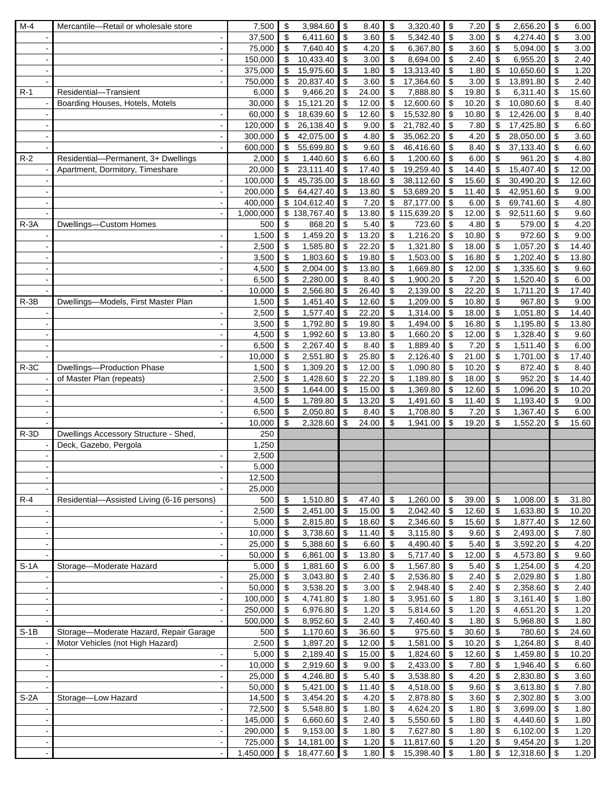| $M-4$          | Mercantile-Retail or wholesale store       | 7,500          | \$              | 3,984.60     | \$                        | 8.40          | \$<br>3,320.40                        | \$                        | 7.20          | \$        | 2,656.20            | \$                        | 6.00  |
|----------------|--------------------------------------------|----------------|-----------------|--------------|---------------------------|---------------|---------------------------------------|---------------------------|---------------|-----------|---------------------|---------------------------|-------|
|                |                                            | 37,500         | \$              | 6,411.60     | \$                        | 3.60          | \$<br>5,342.40                        | \$                        | 3.00          | \$        | 4,274.40            | $\boldsymbol{\mathsf{S}}$ | 3.00  |
|                | $\blacksquare$                             | 75,000         | \$              | 7,640.40     | \$                        | 4.20          | 6,367.80<br>\$                        | \$                        | 3.60          | \$        | 5,094.00            | $\mathfrak{S}$            | 3.00  |
|                | $\blacksquare$                             | 150,000        | \$              | 10,433.40    | \$                        | 3.00          | \$<br>8,694.00                        | \$                        | 2.40          | \$        | 6,955.20            | $\boldsymbol{\mathsf{S}}$ | 2.40  |
|                | $\blacksquare$                             | 375,000        | \$              | 15,975.60    | \$                        | 1.80          | 13,313.40<br>\$                       | \$                        | 1.80          | \$        | 10,650.60           | \$                        | 1.20  |
|                |                                            | 750,000        | \$              | 20,837.40    | \$                        | 3.60          | \$<br>17,364.60                       | \$                        | 3.00          | \$        | 13,891.80           | \$                        | 2.40  |
| $R-1$          | Residential-Transient                      | 6,000          | \$              | 9,466.20     | \$                        | 24.00         | \$<br>7,888.80                        | \$                        | 19.80         | \$        | 6,311.40            | \$                        | 15.60 |
|                | Boarding Houses, Hotels, Motels            | 30,000         | \$              | 15,121.20    | \$                        | 12.00         | \$<br>12,600.60                       | \$                        | 10.20         | \$        | 10,080.60           | \$                        | 8.40  |
|                |                                            | 60,000         | \$              | 18,639.60    | \$                        | 12.60         | \$<br>15,532.80                       | \$                        | 10.80         | \$        | 12,426.00           | \$                        | 8.40  |
|                | $\blacksquare$                             | 120,000        | \$              | 26,138.40    | \$                        | 9.00          | \$<br>21,782.40                       | \$                        | 7.80          | \$        | 17,425.80           | \$                        | 6.60  |
|                | $\blacksquare$                             | 300,000        | \$              | 42,075.00    | \$                        | 4.80          | \$<br>35,062.20                       | \$                        | 4.20          | \$        | 28,050.00           | \$                        | 3.60  |
|                |                                            | 600,000        | \$              | 55,699.80    | \$                        | 9.60          | \$<br>46,416.60                       | \$                        | 8.40          | \$        | 37,133.40           | \$                        | 6.60  |
| $R-2$          | Residential-Permanent, 3+ Dwellings        | 2,000          | \$              | 1,440.60     | \$                        | 6.60          | \$<br>1,200.60                        | \$                        | 6.00          | \$        | 961.20              | \$                        | 4.80  |
|                | Apartment, Dormitory, Timeshare            | 20,000         | \$              | 23,111.40    | \$                        | 17.40         | \$<br>19,259.40                       | \$                        | 14.40         | \$        | 15,407.40           | \$                        | 12.00 |
|                |                                            | 100,000        | \$              | 45,735.00    | \$                        | 18.60         | \$<br>38,112.60                       | \$                        | 15.60         | \$        | 30,490.20           | \$                        | 12.60 |
|                |                                            | 200,000        | \$              | 64,427.40    | \$                        | 13.80         | \$<br>53,689.20                       | $\boldsymbol{\mathsf{S}}$ | 11.40         | \$        | 42,951.60           | \$                        | 9.00  |
|                | $\blacksquare$                             | 400,000        |                 | \$104,612.40 | \$                        | 7.20          | \$<br>87,177.00                       | \$                        | 6.00          | \$        | 69,741.60           | $\boldsymbol{\mathsf{S}}$ | 4.80  |
|                |                                            |                |                 |              | \$                        | 13.80         | \$115,639.20                          |                           | 12.00         | \$        | 92,511.60           | \$                        | 9.60  |
|                | $\blacksquare$                             | 1,000,000      |                 | \$138,767.40 |                           | 5.40          |                                       | \$                        |               |           |                     |                           |       |
| $R - 3A$       | Dwellings-Custom Homes                     | 500            | \$              | 868.20       | \$                        |               | \$<br>723.60                          | \$                        | 4.80          | \$        | 579.00              | \$                        | 4.20  |
|                |                                            | 1,500          | \$              | 1,459.20     | \$                        | 13.20         | $\boldsymbol{\mathsf{S}}$<br>1,216.20 | \$                        | 10.80         | \$        | 972.60              | \$                        | 9.00  |
|                |                                            | 2,500          | \$              | 1,585.80     | \$                        | 22.20         | \$<br>1,321.80                        | \$                        | 18.00         | \$        | 1,057.20            | \$                        | 14.40 |
|                | $\blacksquare$                             | 3,500          | \$              | 1,803.60     | -\$                       | 19.80         | $\boldsymbol{\mathsf{S}}$<br>1,503.00 | \$                        | 16.80         | \$        | 1,202.40            | \$                        | 13.80 |
|                | $\sim$                                     | 4,500          | \$              | 2,004.00     | \$                        | 13.80         | \$<br>1,669.80                        | \$                        | 12.00         | \$        | 1,335.60            | $\boldsymbol{\mathsf{S}}$ | 9.60  |
|                |                                            | 6,500          | \$              | 2,280.00     | \$                        | 8.40          | \$<br>1,900.20                        | \$                        | 7.20          | \$        | 1,520.40            | \$                        | 6.00  |
|                | $\overline{\phantom{a}}$                   | 10,000         | \$              | 2,566.80     | \$                        | 26.40         | \$<br>2,139.00                        | \$                        | 22.20         | \$        | 1,711.20            | \$                        | 17.40 |
| $R - 3B$       | Dwellings-Models, First Master Plan        | 1,500          | \$              | 1,451.40     | \$                        | 12.60         | \$<br>1,209.00                        | \$                        | 10.80         | \$        | 967.80              | $\boldsymbol{\mathsf{S}}$ | 9.00  |
|                |                                            | 2,500          | \$              | 1,577.40     | \$                        | 22.20         | $\boldsymbol{\mathsf{S}}$<br>1,314.00 | \$                        | 18.00         | \$        | 1,051.80            | \$                        | 14.40 |
|                | $\overline{\phantom{a}}$                   | 3,500          | \$              | 1,792.80     | \$                        | 19.80         | \$<br>1,494.00                        | \$                        | 16.80         | \$        | 1,195.80            | \$                        | 13.80 |
|                | $\sim$                                     | 4,500          | \$              | 1,992.60     | \$                        | 13.80         | \$<br>1,660.20                        | \$                        | 12.00         | \$        | 1,328.40            | $\boldsymbol{\mathsf{S}}$ | 9.60  |
|                | $\overline{\phantom{a}}$                   | 6,500          | \$              | 2,267.40     | \$                        | 8.40          | \$<br>1,889.40                        | \$                        | 7.20          | \$        | 1,511.40            | \$                        | 6.00  |
|                | $\blacksquare$                             | 10,000         | \$              | 2,551.80     | \$                        | 25.80         | \$<br>2,126.40                        | \$                        | 21.00         | \$        | 1,701.00            | \$                        | 17.40 |
| $R-3C$         | Dwellings-Production Phase                 | 1,500          | \$              | 1,309.20     | \$                        | 12.00         | \$<br>1,090.80                        | \$                        | 10.20         | \$        | 872.40              | \$                        | 8.40  |
|                | of Master Plan (repeats)                   | 2,500          | \$              | 1,428.60     | \$                        | 22.20         | \$<br>1,189.80                        | \$                        | 18.00         | \$        | $\overline{952.20}$ | \$                        | 14.40 |
|                |                                            | 3,500          | \$              | 1,644.00     | \$                        | 15.00         | $\sqrt[6]{\frac{1}{2}}$<br>1,369.80   | \$                        | 12.60         | \$        | 1,096.20            | \$                        | 10.20 |
|                | $\overline{\phantom{a}}$                   | 4,500          | \$              | 1,789.80     | \$                        | 13.20         | \$<br>1,491.60                        | \$                        | 11.40         | \$        | 1,193.40            | \$                        | 9.00  |
|                |                                            | 6,500          | \$              | 2,050.80     | \$                        | 8.40          | \$<br>1,708.80                        | \$                        | 7.20          | \$        | 1,367.40            | \$                        | 6.00  |
|                |                                            | 10,000         | \$              | 2,328.60     | \$                        | 24.00         | \$<br>1,941.00                        | \$                        | 19.20         | \$        | 1,552.20            | \$                        | 15.60 |
| $R-3D$         | Dwellings Accessory Structure - Shed,      | 250            |                 |              |                           |               |                                       |                           |               |           |                     |                           |       |
|                | Deck, Gazebo, Pergola                      | 1,250          |                 |              |                           |               |                                       |                           |               |           |                     |                           |       |
|                |                                            | 2,500          |                 |              |                           |               |                                       |                           |               |           |                     |                           |       |
|                |                                            | 5,000          |                 |              |                           |               |                                       |                           |               |           |                     |                           |       |
|                | $\overline{\phantom{a}}$                   | 12,500         |                 |              |                           |               |                                       |                           |               |           |                     |                           |       |
|                |                                            | 25,000         |                 |              |                           |               |                                       |                           |               |           |                     |                           |       |
| $R-4$          | Residential-Assisted Living (6-16 persons) | 500            | \$              | 1,510.80     | \$                        | 47.40         | \$<br>1,260.00                        | \$                        | 39.00         | \$        | 1,008.00            | \$                        | 31.80 |
|                |                                            | 2,500          | \$              | 2,451.00     | \$                        | 15.00         | $\boldsymbol{\mathsf{S}}$<br>2,042.40 | $\boldsymbol{\mathsf{S}}$ | 12.60         | \$        | 1,633.80            | $\boldsymbol{\mathsf{S}}$ | 10.20 |
|                | $\blacksquare$                             | 5,000          | \$              | 2,815.80     | \$                        | 18.60         | \$<br>2,346.60                        | $\boldsymbol{\mathsf{S}}$ | 15.60         | \$        | 1,877.40            | \$                        | 12.60 |
|                |                                            | 10,000         | \$              | 3,738.60     | \$                        | 11.40         | \$<br>3,115.80                        | \$                        | 9.60          | \$        | 2,493.00            | \$                        | 7.80  |
|                | $\overline{\phantom{a}}$                   | 25,000         | \$              | 5,388.60     | \$                        | 6.60          | $\boldsymbol{\mathsf{S}}$<br>4,490.40 | \$                        | 5.40          | \$        | 3,592.20            | $\sqrt[6]{\frac{1}{2}}$   | 4.20  |
|                | $\blacksquare$                             | 50,000         | \$              | 6,861.00     | -\$                       | 13.80         | 5,717.40<br>\$                        | \$                        | 12.00         | \$        | 4,573.80            | \$                        | 9.60  |
| $S-1A$         | Storage-Moderate Hazard                    | 5,000          | \$              | 1,881.60     | \$                        | 6.00          | \$<br>1,567.80                        | \$                        | 5.40          | \$        | 1,254.00            | \$                        | 4.20  |
|                | $\blacksquare$                             | 25,000         | \$              | 3,043.80     | \$                        | 2.40          | \$<br>2,536.80                        | \$                        | 2.40          | \$        | 2,029.80            | \$                        | 1.80  |
|                | $\overline{\phantom{a}}$                   | 50,000         | \$              | 3,538.20     | \$                        | 3.00          | \$<br>2,948.40                        | \$                        | 2.40          | \$        | 2,358.60            | \$                        | 2.40  |
|                | $\blacksquare$                             | 100,000        | \$              | 4,741.80     | $\sqrt{3}$                | 1.80          | \$<br>3,951.60                        | $\sqrt[6]{3}$             | 1.80          | \$        | 3,161.40            | \$                        | 1.80  |
|                |                                            | 250,000        | \$              | 6,976.80     | \$                        | 1.20          | \$<br>5,814.60                        | \$                        | 1.20          | \$        | 4,651.20            | $\sqrt[6]{\frac{1}{2}}$   | 1.20  |
|                | $\blacksquare$                             |                |                 |              |                           |               |                                       |                           |               |           |                     |                           |       |
| $S-1B$         |                                            | 500,000<br>500 | \$              | 8,952.60     | $\boldsymbol{\mathsf{S}}$ | 2.40<br>36.60 | $\sqrt{3}$<br>7,460.40                | \$                        | 1.80<br>30.60 | \$<br>\$  | 5,968.80            | \$                        | 1.80  |
|                | Storage-Moderate Hazard, Repair Garage     |                | \$              | 1,170.60     | $\sqrt{3}$                |               | \$<br>975.60                          | \$                        |               |           | 780.60              | \$                        | 24.60 |
|                | Motor Vehicles (not High Hazard)           | 2,500          | \$              | 1,897.20     | \$                        | 12.00         | \$<br>1,581.00                        | \$                        | 10.20         | \$        | 1,264.80            | \$                        | 8.40  |
|                | $\blacksquare$                             | 5,000          | \$              | 2,189.40     | \$                        | 15.00         | \$<br>1,824.60                        | \$                        | 12.60         | \$        | 1,459.80            | \$                        | 10.20 |
|                | $\overline{\phantom{a}}$                   | 10,000         | \$              | 2,919.60     | \$                        | 9.00          | $\sqrt{3}$<br>2,433.00                | \$                        | 7.80          | \$        | 1,946.40            | $\sqrt[6]{\frac{1}{2}}$   | 6.60  |
|                | $\overline{\phantom{a}}$                   | 25,000         | \$              | 4,246.80     | \$                        | 5.40          | \$<br>3,538.80                        | \$                        | 4.20          | \$        | 2,830.80            | \$                        | 3.60  |
|                | $\blacksquare$                             | 50,000         | \$              | 5,421.00     | \$                        | 11.40         | \$<br>4,518.00                        | \$                        | 9.60          | \$        | 3,613.80            | \$                        | 7.80  |
| $S-2A$         | Storage-Low Hazard                         | 14,500         | \$              | 3,454.20     | \$                        | 4.20          | \$<br>2,878.80                        | \$                        | 3.60          | \$        | 2,302.80            | \$                        | 3.00  |
|                | $\blacksquare$                             | 72,500         | \$              | 5,548.80     | $\sqrt{3}$                | 1.80          | \$<br>4,624.20                        | \$                        | 1.80          | \$        | 3,699.00            | \$                        | 1.80  |
|                | $\blacksquare$                             | 145,000        | \$              | 6,660.60     | \$                        | 2.40          | 5,550.60<br>\$                        | \$                        | 1.80          | \$        | 4,440.60            | \$                        | 1.80  |
|                | $\blacksquare$                             | 290,000        | \$              | 9,153.00     | $\sqrt{3}$                | 1.80          | \$<br>7,627.80                        | $\sqrt[6]{3}$             | 1.80          | \$        | 6,102.00            | \$                        | 1.20  |
|                | $\blacksquare$                             | 725,000        | $\overline{\$}$ | 14,181.00    | l \$                      | 1.20          | \$<br>11,817.60                       | $\sqrt{3}$                | 1.20          | \$        | 9,454.20            | \$                        | 1.20  |
| $\blacksquare$ | $\blacksquare$                             | 1,450,000      | $\frac{1}{2}$   | 18,477.60 \$ |                           | 1.80          | 15,398.40 \$<br>$\sqrt{3}$            |                           | 1.80          | $\bullet$ | 12,318.60 \$        |                           | 1.20  |